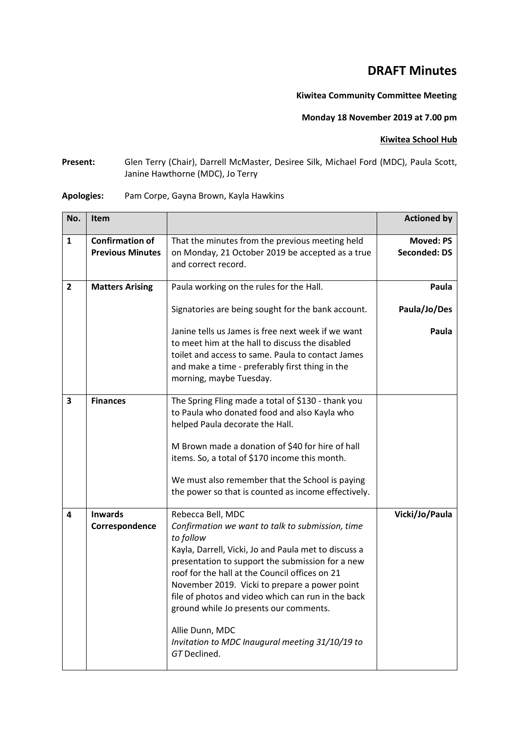## **DRAFT Minutes**

## **Kiwitea Community Committee Meeting**

## **Monday 18 November 2019 at 7.00 pm**

## **Kiwitea School Hub**

**Present:** Glen Terry (Chair), Darrell McMaster, Desiree Silk, Michael Ford (MDC), Paula Scott, Janine Hawthorne (MDC), Jo Terry

| No.                     | <b>Item</b>                                       |                                                                                                                                                                                                                                                                                                                                                                                                                                                                                         | <b>Actioned by</b>                      |
|-------------------------|---------------------------------------------------|-----------------------------------------------------------------------------------------------------------------------------------------------------------------------------------------------------------------------------------------------------------------------------------------------------------------------------------------------------------------------------------------------------------------------------------------------------------------------------------------|-----------------------------------------|
| 1                       | <b>Confirmation of</b><br><b>Previous Minutes</b> | That the minutes from the previous meeting held<br>on Monday, 21 October 2019 be accepted as a true<br>and correct record.                                                                                                                                                                                                                                                                                                                                                              | <b>Moved: PS</b><br><b>Seconded: DS</b> |
| $\overline{2}$          | <b>Matters Arising</b>                            | Paula working on the rules for the Hall.                                                                                                                                                                                                                                                                                                                                                                                                                                                | Paula                                   |
|                         |                                                   | Signatories are being sought for the bank account.                                                                                                                                                                                                                                                                                                                                                                                                                                      | Paula/Jo/Des                            |
|                         |                                                   | Janine tells us James is free next week if we want<br>to meet him at the hall to discuss the disabled<br>toilet and access to same. Paula to contact James<br>and make a time - preferably first thing in the<br>morning, maybe Tuesday.                                                                                                                                                                                                                                                | Paula                                   |
| 3                       | <b>Finances</b>                                   | The Spring Fling made a total of \$130 - thank you<br>to Paula who donated food and also Kayla who<br>helped Paula decorate the Hall.<br>M Brown made a donation of \$40 for hire of hall<br>items. So, a total of \$170 income this month.<br>We must also remember that the School is paying<br>the power so that is counted as income effectively.                                                                                                                                   |                                         |
| $\overline{\mathbf{4}}$ | <b>Inwards</b><br>Correspondence                  | Rebecca Bell, MDC<br>Confirmation we want to talk to submission, time<br>to follow<br>Kayla, Darrell, Vicki, Jo and Paula met to discuss a<br>presentation to support the submission for a new<br>roof for the hall at the Council offices on 21<br>November 2019. Vicki to prepare a power point<br>file of photos and video which can run in the back<br>ground while Jo presents our comments.<br>Allie Dunn, MDC<br>Invitation to MDC Inaugural meeting 31/10/19 to<br>GT Declined. | Vicki/Jo/Paula                          |

**Apologies:** Pam Corpe, Gayna Brown, Kayla Hawkins